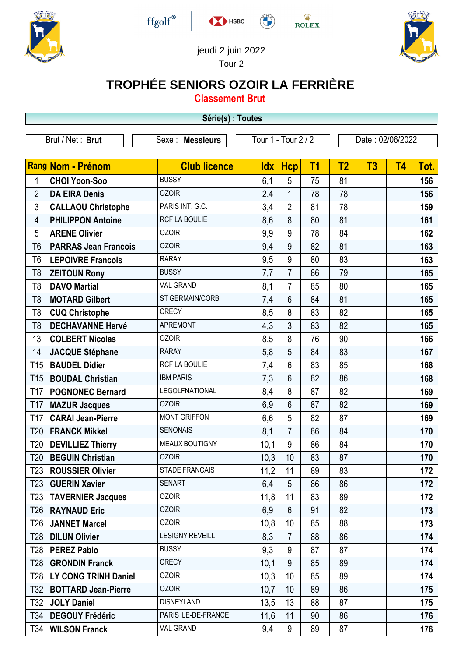





 $\frac{\dot{\mathbf{W}}}{\mathbf{ROLEX}}$ 



jeudi 2 juin 2022

Tour 2

## **TROPHÉE SENIORS OZOIR LA FERRIÈRE**

**Classement Brut**

|                   |                             | Série(s) : Toutes      |                     |                 |           |                |                  |           |      |
|-------------------|-----------------------------|------------------------|---------------------|-----------------|-----------|----------------|------------------|-----------|------|
|                   | Brut / Net: Brut            | Sexe : Messieurs       | Tour 1 - Tour 2 / 2 |                 |           |                | Date: 02/06/2022 |           |      |
|                   |                             |                        |                     |                 |           |                |                  |           |      |
| Rang Nom - Prénom |                             | <b>Club licence</b>    | <b>Idx</b>          | <b>Hcp</b>      | <b>T1</b> | T <sub>2</sub> | T3               | <b>T4</b> | Tot. |
| 1                 | <b>CHOI Yoon-Soo</b>        | <b>BUSSY</b>           | 6,1                 | 5               | 75        | 81             |                  |           | 156  |
| $\overline{2}$    | <b>DA EIRA Denis</b>        | <b>OZOIR</b>           | 2,4                 | $\mathbf{1}$    | 78        | 78             |                  |           | 156  |
| 3                 | <b>CALLAOU Christophe</b>   | PARIS INT. G.C.        | 3,4                 | $\overline{2}$  | 81        | 78             |                  |           | 159  |
| 4                 | <b>PHILIPPON Antoine</b>    | RCF LA BOULIE          | 8,6                 | 8               | 80        | 81             |                  |           | 161  |
| 5                 | <b>ARENE Olivier</b>        | <b>OZOIR</b>           | 9,9                 | 9               | 78        | 84             |                  |           | 162  |
| T <sub>6</sub>    | <b>PARRAS Jean Francois</b> | <b>OZOIR</b>           | 9,4                 | 9               | 82        | 81             |                  |           | 163  |
| T <sub>6</sub>    | <b>LEPOIVRE Francois</b>    | <b>RARAY</b>           | 9,5                 | 9               | 80        | 83             |                  |           | 163  |
| T <sub>8</sub>    | <b>ZEITOUN Rony</b>         | <b>BUSSY</b>           | 7,7                 | $\overline{7}$  | 86        | 79             |                  |           | 165  |
| T <sub>8</sub>    | <b>DAVO Martial</b>         | <b>VAL GRAND</b>       | 8,1                 | $\overline{7}$  | 85        | 80             |                  |           | 165  |
| T <sub>8</sub>    | <b>MOTARD Gilbert</b>       | ST GERMAIN/CORB        | 7,4                 | 6               | 84        | 81             |                  |           | 165  |
| T <sub>8</sub>    | <b>CUQ Christophe</b>       | <b>CRECY</b>           | 8,5                 | 8               | 83        | 82             |                  |           | 165  |
| T <sub>8</sub>    | <b>DECHAVANNE Hervé</b>     | <b>APREMONT</b>        | 4,3                 | $\mathfrak{Z}$  | 83        | 82             |                  |           | 165  |
| 13                | <b>COLBERT Nicolas</b>      | <b>OZOIR</b>           | 8,5                 | 8               | 76        | 90             |                  |           | 166  |
| 14                | <b>JACQUE Stéphane</b>      | <b>RARAY</b>           | 5,8                 | 5               | 84        | 83             |                  |           | 167  |
| T <sub>15</sub>   | <b>BAUDEL Didier</b>        | RCF LA BOULIE          | 7,4                 | 6               | 83        | 85             |                  |           | 168  |
| T <sub>15</sub>   | <b>BOUDAL Christian</b>     | <b>IBM PARIS</b>       | 7,3                 | 6               | 82        | 86             |                  |           | 168  |
| T <sub>17</sub>   | <b>POGNONEC Bernard</b>     | <b>LEGOLFNATIONAL</b>  | 8,4                 | 8               | 87        | 82             |                  |           | 169  |
| T17               | <b>MAZUR Jacques</b>        | <b>OZOIR</b>           | 6,9                 | 6               | 87        | 82             |                  |           | 169  |
| T17               | <b>CARAI Jean-Pierre</b>    | <b>MONT GRIFFON</b>    | 6,6                 | 5               | 82        | 87             |                  |           | 169  |
| T <sub>20</sub>   | <b>FRANCK Mikkel</b>        | <b>SENONAIS</b>        | 8,1                 | $\overline{7}$  | 86        | 84             |                  |           | 170  |
| T <sub>20</sub>   | <b>DEVILLIEZ Thierry</b>    | MEAUX BOUTIGNY         | 10,1                | 9               | 86        | 84             |                  |           | 170  |
| T <sub>20</sub>   | <b>BEGUIN Christian</b>     | <b>OZOIR</b>           | 10,3                | 10              | 83        | 87             |                  |           | 170  |
| T23               | <b>ROUSSIER Olivier</b>     | <b>STADE FRANCAIS</b>  | 11,2                | 11              | 89        | 83             |                  |           | 172  |
| T23               | <b>GUERIN Xavier</b>        | <b>SENART</b>          | 6,4                 | 5               | 86        | 86             |                  |           | 172  |
| T <sub>23</sub>   | <b>TAVERNIER Jacques</b>    | <b>OZOIR</b>           | 11,8                | 11              | 83        | 89             |                  |           | 172  |
| T26               | <b>RAYNAUD Eric</b>         | <b>OZOIR</b>           | 6,9                 | 6               | 91        | 82             |                  |           | 173  |
| T <sub>26</sub>   | <b>JANNET Marcel</b>        | <b>OZOIR</b>           | 10,8                | 10              | 85        | 88             |                  |           | 173  |
| T <sub>28</sub>   | <b>DILUN Olivier</b>        | <b>LESIGNY REVEILL</b> | 8,3                 | $\overline{7}$  | 88        | 86             |                  |           | 174  |
| T <sub>28</sub>   | <b>PEREZ Pablo</b>          | <b>BUSSY</b>           | 9,3                 | 9               | 87        | 87             |                  |           | 174  |
| T <sub>28</sub>   | <b>GRONDIN Franck</b>       | <b>CRECY</b>           | 10,1                | 9               | 85        | 89             |                  |           | 174  |
| T28               | LY CONG TRINH Daniel        | <b>OZOIR</b>           | 10,3                | 10 <sup>°</sup> | 85        | 89             |                  |           | 174  |
| T32               | <b>BOTTARD Jean-Pierre</b>  | <b>OZOIR</b>           | 10,7                | 10              | 89        | 86             |                  |           | 175  |
| T32               | <b>JOLY Daniel</b>          | <b>DISNEYLAND</b>      | 13,5                | 13              | 88        | 87             |                  |           | 175  |
| T34               | <b>DEGOUY Frédéric</b>      | PARIS ILE-DE-FRANCE    | 11,6                | 11              | 90        | 86             |                  |           | 176  |
| T34               | <b>WILSON Franck</b>        | VAL GRAND              | 9,4                 | 9               | 89        | 87             |                  |           | 176  |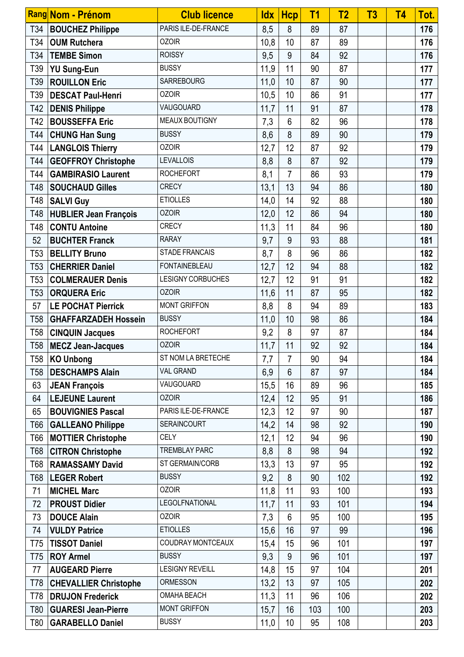|                 | <b>Rang Nom - Prénom</b>     | <b>Club licence</b>      | <b>Idx</b> | <b>Hcp</b>     | T <sub>1</sub> | T <sub>2</sub> | T3 | <b>T4</b> | Tot. |
|-----------------|------------------------------|--------------------------|------------|----------------|----------------|----------------|----|-----------|------|
| T34             | <b>BOUCHEZ Philippe</b>      | PARIS ILE-DE-FRANCE      | 8,5        | 8              | 89             | 87             |    |           | 176  |
| T34             | <b>OUM Rutchera</b>          | <b>OZOIR</b>             | 10,8       | 10             | 87             | 89             |    |           | 176  |
| T34             | <b>TEMBE Simon</b>           | <b>ROISSY</b>            | 9,5        | 9              | 84             | 92             |    |           | 176  |
| T39             | <b>YU Sung-Eun</b>           | <b>BUSSY</b>             | 11,9       | 11             | 90             | 87             |    |           | 177  |
| T39             | <b>ROUILLON Eric</b>         | <b>SARREBOURG</b>        | 11,0       | 10             | 87             | 90             |    |           | 177  |
| T39             | <b>DESCAT Paul-Henri</b>     | <b>OZOIR</b>             | 10,5       | 10             | 86             | 91             |    |           | 177  |
|                 | T42   DENIS Philippe         | VAUGOUARD                | 11,7       | 11             | 91             | 87             |    |           | 178  |
| T42             | <b>BOUSSEFFA Eric</b>        | MEAUX BOUTIGNY           | 7,3        | $6\phantom{1}$ | 82             | 96             |    |           | 178  |
| T44             | <b>CHUNG Han Sung</b>        | <b>BUSSY</b>             | 8,6        | 8              | 89             | 90             |    |           | 179  |
| T44             | <b>LANGLOIS Thierry</b>      | <b>OZOIR</b>             | 12,7       | 12             | 87             | 92             |    |           | 179  |
| T44             | <b>GEOFFROY Christophe</b>   | <b>LEVALLOIS</b>         | 8,8        | 8              | 87             | 92             |    |           | 179  |
| T44             | <b>GAMBIRASIO Laurent</b>    | <b>ROCHEFORT</b>         | 8,1        | $\overline{7}$ | 86             | 93             |    |           | 179  |
| T48             | <b>SOUCHAUD Gilles</b>       | <b>CRECY</b>             | 13,1       | 13             | 94             | 86             |    |           | 180  |
| T48             | <b>SALVI Guy</b>             | <b>ETIOLLES</b>          | 14,0       | 14             | 92             | 88             |    |           | 180  |
| T48             | <b>HUBLIER Jean François</b> | <b>OZOIR</b>             | 12,0       | 12             | 86             | 94             |    |           | 180  |
| T48             | <b>CONTU Antoine</b>         | <b>CRECY</b>             | 11,3       | 11             | 84             | 96             |    |           | 180  |
| 52              | <b>BUCHTER Franck</b>        | <b>RARAY</b>             | 9,7        | 9              | 93             | 88             |    |           | 181  |
| T <sub>53</sub> | <b>BELLITY Bruno</b>         | <b>STADE FRANCAIS</b>    | 8,7        | 8              | 96             | 86             |    |           | 182  |
| T <sub>53</sub> | <b>CHERRIER Daniel</b>       | <b>FONTAINEBLEAU</b>     | 12,7       | 12             | 94             | 88             |    |           | 182  |
| T <sub>53</sub> | <b>COLMERAUER Denis</b>      | <b>LESIGNY CORBUCHES</b> | 12,7       | 12             | 91             | 91             |    |           | 182  |
| T <sub>53</sub> | <b>ORQUERA Eric</b>          | <b>OZOIR</b>             | 11,6       | 11             | 87             | 95             |    |           | 182  |
| 57              | <b>LE POCHAT Pierrick</b>    | <b>MONT GRIFFON</b>      | 8,8        | 8              | 94             | 89             |    |           | 183  |
| T <sub>58</sub> | <b>GHAFFARZADEH Hossein</b>  | <b>BUSSY</b>             | 11,0       | 10             | 98             | 86             |    |           | 184  |
| T <sub>58</sub> | <b>CINQUIN Jacques</b>       | <b>ROCHEFORT</b>         | 9,2        | 8              | 97             | 87             |    |           | 184  |
| <b>T58</b>      | <b>MECZ Jean-Jacques</b>     | <b>OZOIR</b>             | 11,7       | 11             | 92             | 92             |    |           | 184  |
|                 | T58   KO Unbong              | ST NOM LA BRETECHE       | 7,7        | $\overline{7}$ | 90             | 94             |    |           | 184  |
| T <sub>58</sub> | <b>DESCHAMPS Alain</b>       | <b>VAL GRAND</b>         | 6,9        | $6\phantom{1}$ | 87             | 97             |    |           | 184  |
| 63              | <b>JEAN François</b>         | VAUGOUARD                | 15,5       | 16             | 89             | 96             |    |           | 185  |
| 64              | <b>LEJEUNE Laurent</b>       | <b>OZOIR</b>             | 12,4       | 12             | 95             | 91             |    |           | 186  |
| 65              | <b>BOUVIGNIES Pascal</b>     | PARIS ILE-DE-FRANCE      | 12,3       | 12             | 97             | 90             |    |           | 187  |
| T66             | <b>GALLEANO Philippe</b>     | <b>SERAINCOURT</b>       | 14,2       | 14             | 98             | 92             |    |           | 190  |
| T66             | <b>MOTTIER Christophe</b>    | <b>CELY</b>              | 12,1       | 12             | 94             | 96             |    |           | 190  |
| T68             | <b>CITRON Christophe</b>     | <b>TREMBLAY PARC</b>     | 8,8        | 8              | 98             | 94             |    |           | 192  |
| T68             | <b>RAMASSAMY David</b>       | ST GERMAIN/CORB          | 13,3       | 13             | 97             | 95             |    |           | 192  |
| T68             | <b>LEGER Robert</b>          | <b>BUSSY</b>             | 9,2        | 8              | 90             | 102            |    |           | 192  |
| 71              | <b>MICHEL Marc</b>           | <b>OZOIR</b>             | 11,8       | 11             | 93             | 100            |    |           | 193  |
| 72              | <b>PROUST Didier</b>         | <b>LEGOLFNATIONAL</b>    | 11,7       | 11             | 93             | 101            |    |           | 194  |
| 73              | <b>DOUCE Alain</b>           | <b>OZOIR</b>             | 7,3        | 6              | 95             | 100            |    |           | 195  |
| 74              | <b>VULDY Patrice</b>         | <b>ETIOLLES</b>          | 15,6       | 16             | 97             | 99             |    |           | 196  |
| T75             | <b>TISSOT Daniel</b>         | COUDRAY MONTCEAUX        | 15,4       | 15             | 96             | 101            |    |           | 197  |
| T75             | <b>ROY Armel</b>             | <b>BUSSY</b>             | 9,3        | 9              | 96             | 101            |    |           | 197  |
| 77              | <b>AUGEARD Pierre</b>        | <b>LESIGNY REVEILL</b>   | 14,8       | 15             | 97             | 104            |    |           | 201  |
| T78             | <b>CHEVALLIER Christophe</b> | <b>ORMESSON</b>          | 13,2       | 13             | 97             | 105            |    |           | 202  |
| T78             | <b>DRUJON Frederick</b>      | <b>OMAHA BEACH</b>       | 11,3       | 11             | 96             | 106            |    |           | 202  |
| T80             | <b>GUARESI Jean-Pierre</b>   | <b>MONT GRIFFON</b>      | 15,7       | 16             | 103            | 100            |    |           | 203  |
| T80             | <b>GARABELLO Daniel</b>      | <b>BUSSY</b>             | 11,0       | 10             | 95             | 108            |    |           | 203  |